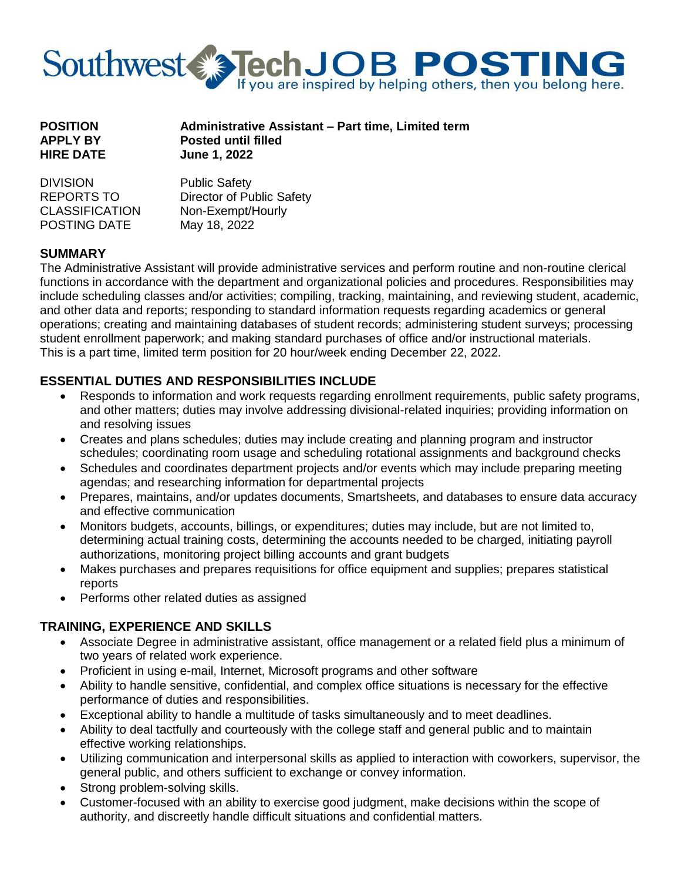

| <b>POSITION</b>  | Administrative Assistant - Part time, Limited term |
|------------------|----------------------------------------------------|
| <b>APPLY BY</b>  | <b>Posted until filled</b>                         |
| <b>HIRE DATE</b> | <b>June 1, 2022</b>                                |

DIVISION Public Safety<br>REPORTS TO Director of Pu Director of Public Safety CLASSIFICATION Non-Exempt/Hourly POSTING DATE May 18, 2022

## **SUMMARY**

The Administrative Assistant will provide administrative services and perform routine and non-routine clerical functions in accordance with the department and organizational policies and procedures. Responsibilities may include scheduling classes and/or activities; compiling, tracking, maintaining, and reviewing student, academic, and other data and reports; responding to standard information requests regarding academics or general operations; creating and maintaining databases of student records; administering student surveys; processing student enrollment paperwork; and making standard purchases of office and/or instructional materials. This is a part time, limited term position for 20 hour/week ending December 22, 2022.

# **ESSENTIAL DUTIES AND RESPONSIBILITIES INCLUDE**

- Responds to information and work requests regarding enrollment requirements, public safety programs, and other matters; duties may involve addressing divisional-related inquiries; providing information on and resolving issues
- Creates and plans schedules; duties may include creating and planning program and instructor schedules; coordinating room usage and scheduling rotational assignments and background checks
- Schedules and coordinates department projects and/or events which may include preparing meeting agendas; and researching information for departmental projects
- Prepares, maintains, and/or updates documents, Smartsheets, and databases to ensure data accuracy and effective communication
- Monitors budgets, accounts, billings, or expenditures; duties may include, but are not limited to, determining actual training costs, determining the accounts needed to be charged, initiating payroll authorizations, monitoring project billing accounts and grant budgets
- Makes purchases and prepares requisitions for office equipment and supplies; prepares statistical reports
- Performs other related duties as assigned

## **TRAINING, EXPERIENCE AND SKILLS**

- Associate Degree in administrative assistant, office management or a related field plus a minimum of two years of related work experience.
- Proficient in using e-mail, Internet, Microsoft programs and other software
- Ability to handle sensitive, confidential, and complex office situations is necessary for the effective performance of duties and responsibilities.
- Exceptional ability to handle a multitude of tasks simultaneously and to meet deadlines.
- Ability to deal tactfully and courteously with the college staff and general public and to maintain effective working relationships.
- Utilizing communication and interpersonal skills as applied to interaction with coworkers, supervisor, the general public, and others sufficient to exchange or convey information.
- Strong problem-solving skills.
- Customer-focused with an ability to exercise good judgment, make decisions within the scope of authority, and discreetly handle difficult situations and confidential matters.